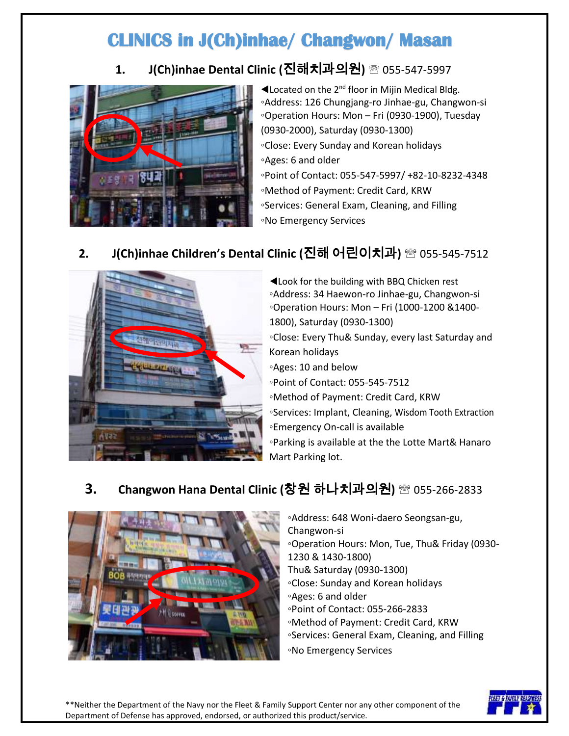# **CLINICS in J(Ch)inhae/ Changwon/ Masan**

### **1. J(Ch)inhae Dental Clinic (**진해치과의원**)** 055-547-5997



 $\blacktriangleleft$  Located on the 2<sup>nd</sup> floor in Mijin Medical Bldg. ◦Address: 126 Chungjang-ro Jinhae-gu, Changwon-si ◦Operation Hours: Mon – Fri (0930-1900), Tuesday (0930-2000), Saturday (0930-1300) ◦Close: Every Sunday and Korean holidays ◦Ages: 6 and older ◦Point of Contact: 055-547-5997/ +82-10-8232-4348 ◦Method of Payment: Credit Card, KRW ◦Services: General Exam, Cleaning, and Filling ◦No Emergency Services

# $2471 - 147$

## **2. J(Ch)inhae Children's Dental Clinic (**진해 어린이치과**)** 055-545-7512

◀Look for the building with BBQ Chicken rest ◦Address: 34 Haewon-ro Jinhae-gu, Changwon-si ◦Operation Hours: Mon – Fri (1000-1200 &1400- 1800), Saturday (0930-1300) ◦Close: Every Thu& Sunday, every last Saturday and Korean holidays ◦Ages: 10 and below ◦Point of Contact: 055-545-7512 ◦Method of Payment: Credit Card, KRW ◦Services: Implant, Cleaning, Wisdom Tooth Extraction ◦Emergency On-call is available ◦Parking is available at the the Lotte Mart& Hanaro Mart Parking lot.

## **3. Changwon Hana Dental Clinic (**창원 하나치과의원**)** 055-266-2833



◦Address: 648 Woni-daero Seongsan-gu, Changwon-si ◦Operation Hours: Mon, Tue, Thu& Friday (0930- 1230 & 1430-1800) Thu& Saturday (0930-1300) ◦Close: Sunday and Korean holidays ◦Ages: 6 and older ◦Point of Contact: 055-266-2833 ◦Method of Payment: Credit Card, KRW ◦Services: General Exam, Cleaning, and Filling ◦No Emergency Services